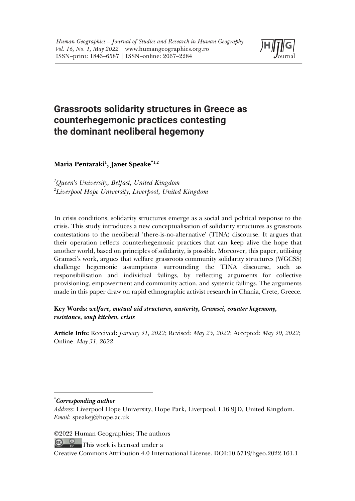

# **Grassroots solidarity structures in Greece as counterhegemonic practices contesting the dominant neoliberal hegemony**

**Maria Pentaraki1 , Janet Speake\*1,2**

*1 Queen's University, Belfast, United Kingdom 2 Liverpool Hope University, Liverpool, United Kingdom*

In crisis conditions, solidarity structures emerge as a social and political response to the crisis. This study introduces a new conceptualisation of solidarity structures as grassroots contestations to the neoliberal 'there-is-no-alternative' (TINA) discourse. It argues that their operation reflects counterhegemonic practices that can keep alive the hope that another world, based on principles of solidarity, is possible. Moreover, this paper, utilising Gramsci's work, argues that welfare grassroots community solidarity structures (WGCSS) challenge hegemonic assumptions surrounding the TINA discourse, such as responsibilisation and individual failings, by reflecting arguments for collective provisioning, empowerment and community action, and systemic failings. The arguments made in this paper draw on rapid ethnographic activist research in Chania, Crete, Greece.

**Key Words:** *welfare, mutual aid structures, austerity, Gramsci, counter hegemony, resistance, soup kitchen, crisis*

**Article Info:** Received: *January 31, 2022*; Revised: *May 25, 2022*; Accepted: *May 30, 2022*; Online: *May 31, 2022*.

\* *Corresponding author*

©2022 Human Geographies; The authors

This work is licensed under a

*Address*: Liverpool Hope University, Hope Park, Liverpool, L16 9JD, United Kingdom. *Email*: speakej@hope.ac.uk

Creative Commons Attribution 4.0 International License. DOI:10.5719/hgeo.2022.161.1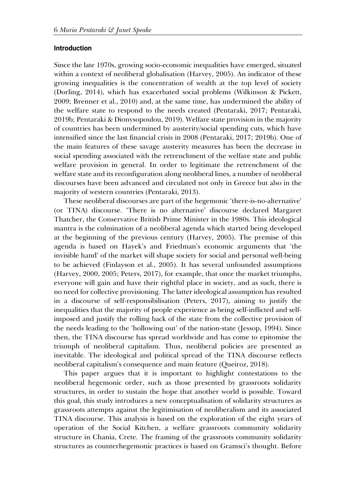#### **Introduction**

Since the late 1970s, growing socio-economic inequalities have emerged, situated within a context of neoliberal globalisation (Harvey, 2005). An indicator of these growing inequalities is the concentration of wealth at the top level of society (Dorling, 2014), which has exacerbated social problems (Wilkinson & Pickett, 2009; Brenner et al., 2010) and, at the same time, has undermined the ability of the welfare state to respond to the needs created (Pentaraki, 2017; Pentaraki, 2019b; Pentaraki & Dionysopoulou, 2019). Welfare state provision in the majority of countries has been undermined by austerity/social spending cuts, which have intensified since the last financial crisis in 2008 (Pentaraki, 2017; 2019b). One of the main features of these savage austerity measures has been the decrease in social spending associated with the retrenchment of the welfare state and public welfare provision in general. In order to legitimate the retrenchment of the welfare state and its reconfiguration along neoliberal lines, a number of neoliberal discourses have been advanced and circulated not only in Greece but also in the majority of western countries (Pentaraki, 2013).

These neoliberal discourses are part of the hegemonic 'there-is-no-alternative' (or TINA) discourse. 'There is no alternative' discourse declared Margaret Thatcher, the Conservative British Prime Minister in the 1980s. This ideological mantra is the culmination of a neoliberal agenda which started being developed at the beginning of the previous century (Harvey, 2005). The premise of this agenda is based on Hayek's and Friedman's economic arguments that 'the invisible hand' of the market will shape society for social and personal well-being to be achieved (Finlayson et al., 2005). It has several unfounded assumptions (Harvey, 2000, 2005; Peters, 2017), for example, that once the market triumphs, everyone will gain and have their rightful place in society, and as such, there is no need for collective provisioning. The latter ideological assumption has resulted in a discourse of self-responsibilisation (Peters, 2017), aiming to justify the inequalities that the majority of people experience as being self-inflicted and selfimposed and justify the rolling back of the state from the collective provision of the needs leading to the 'hollowing out' of the nation-state (Jessop, 1994). Since then, the TINA discourse has spread worldwide and has come to epitomise the triumph of neoliberal capitalism. Thus, neoliberal policies are presented as inevitable. The ideological and political spread of the TINA discourse reflects neoliberal capitalism's consequence and main feature (Queiroz, 2018).

This paper argues that it is important to highlight contestations to the neoliberal hegemonic order, such as those presented by grassroots solidarity structures, in order to sustain the hope that another world is possible. Toward this goal, this study introduces a new conceptualisation of solidarity structures as grassroots attempts against the legitimisation of neoliberalism and its associated TINA discourse. This analysis is based on the exploration of the eight years of operation of the Social Kitchen, a welfare grassroots community solidarity structure in Chania, Crete. The framing of the grassroots community solidarity structures as counterhegemonic practices is based on Gramsci's thought. Before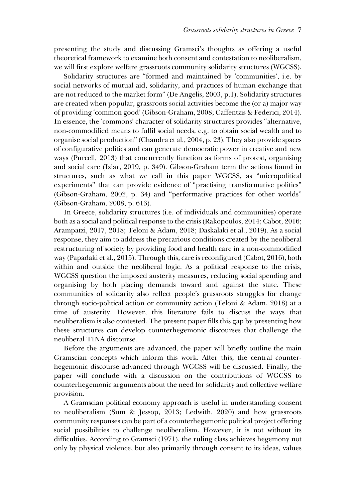presenting the study and discussing Gramsci's thoughts as offering a useful theoretical framework to examine both consent and contestation to neoliberalism, we will first explore welfare grassroots community solidarity structures (WGCSS).

Solidarity structures are "formed and maintained by 'communities', i.e. by social networks of mutual aid, solidarity, and practices of human exchange that are not reduced to the market form" (De Angelis, 2003, p.1). Solidarity structures are created when popular, grassroots social activities become the (or a) major way of providing 'common good' (Gibson-Graham, 2008; Caffentzis & Federici, 2014). In essence, the 'commons' character of solidarity structures provides "alternative, non-commodified means to fulfil social needs, e.g. to obtain social wealth and to organise social production" (Chandra et al., 2004, p. 23). They also provide spaces of configurative politics and can generate democratic power in creative and new ways (Purcell, 2013) that concurrently function as forms of protest, organising and social care (Izlar, 2019, p. 349). Gibson-Graham term the actions found in structures, such as what we call in this paper WGCSS, as "micropolitical experiments" that can provide evidence of "practising transformative politics" (Gibson-Graham, 2002, p. 34) and "performative practices for other worlds" (Gibson-Graham, 2008, p. 613).

In Greece, solidarity structures (i.e. of individuals and communities) operate both as a social and political response to the crisis (Rakopoulos, 2014; Cabot, 2016; Arampatzi, 2017, 2018; Teloni & Adam, 2018; Daskalaki et al., 2019). As a social response, they aim to address the precarious conditions created by the neoliberal restructuring of society by providing food and health care in a non-commodified way (Papadaki et al., 2015). Through this, care is reconfigured (Cabot, 2016), both within and outside the neoliberal logic. As a political response to the crisis, WGCSS question the imposed austerity measures, reducing social spending and organising by both placing demands toward and against the state. These communities of solidarity also reflect people's grassroots struggles for change through socio-political action or community action (Teloni & Adam, 2018) at a time of austerity. However, this literature fails to discuss the ways that neoliberalism is also contested. The present paper fills this gap by presenting how these structures can develop counterhegemonic discourses that challenge the neoliberal TINA discourse.

Before the arguments are advanced, the paper will briefly outline the main Gramscian concepts which inform this work. After this, the central counterhegemonic discourse advanced through WGCSS will be discussed. Finally, the paper will conclude with a discussion on the contributions of WGCSS to counterhegemonic arguments about the need for solidarity and collective welfare provision.

A Gramscian political economy approach is useful in understanding consent to neoliberalism (Sum & Jessop, 2013; Ledwith, 2020) and how grassroots community responses can be part of a counterhegemonic political project offering social possibilities to challenge neoliberalism. However, it is not without its difficulties. According to Gramsci (1971), the ruling class achieves hegemony not only by physical violence, but also primarily through consent to its ideas, values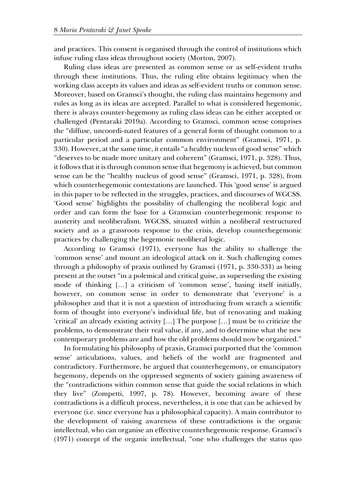and practices. This consent is organised through the control of institutions which infuse ruling class ideas throughout society (Morton, 2007).

Ruling class ideas are presented as common sense or as self-evident truths through these institutions. Thus, the ruling elite obtains legitimacy when the working class accepts its values and ideas as self-evident truths or common sense. Moreover, based on Gramsci's thought, the ruling class maintains hegemony and rules as long as its ideas are accepted. Parallel to what is considered hegemonic, there is always counter-hegemony as ruling class ideas can be either accepted or challenged (Pentaraki 2019a). According to Gramsci, common sense comprises the "diffuse, uncoordi-nated features of a general form of thought common to a particular period and a particular common environment" (Gramsci, 1971, p. 330). However, at the same time, it entails "a healthy nucleus of good sense" which "deserves to be made more unitary and coherent" (Gramsci, 1971, p. 328). Thus, it follows that it is through common sense that hegemony is achieved, but common sense can be the "healthy nucleus of good sense" (Gramsci, 1971, p. 328), from which counterhegemonic contestations are launched. This 'good sense' is argued in this paper to be reflected in the struggles, practices, and discourses of WGCSS. 'Good sense' highlights the possibility of challenging the neoliberal logic and order and can form the base for a Gramscian counterhegemonic response to austerity and neoliberalism. WGCSS, situated within a neoliberal restructured society and as a grassroots response to the crisis, develop counterhegemonic practices by challenging the hegemonic neoliberal logic.

According to Gramsci (1971), everyone has the ability to challenge the 'common sense' and mount an ideological attack on it. Such challenging comes through a philosophy of praxis outlined by Gramsci (1971, p. 330-331) as being present at the outset "in a polemical and critical guise, as superseding the existing mode of thinking […] a criticism of 'common sense', basing itself initially, however, on common sense in order to demonstrate that 'everyone' is a philosopher and that it is not a question of introducing from scratch a scientific form of thought into everyone's individual life, but of renovating and making 'critical' an already existing activity […] The purpose […] must be to criticize the problems, to demonstrate their real value, if any, and to determine what the new contemporary problems are and how the old problems should now be organized."

In formulating his philosophy of praxis, Gramsci purported that the 'common sense' articulations, values, and beliefs of the world are fragmented and contradictory. Furthermore, he argued that counterhegemony, or emancipatory hegemony, depends on the oppressed segments of society gaining awareness of the "contradictions within common sense that guide the social relations in which they live" (Zompetti, 1997, p. 78). However, becoming aware of these contradictions is a difficult process, nevertheless, it is one that can be achieved by everyone (i.e. since everyone has a philosophical capacity). A main contributor to the development of raising awareness of these contradictions is the organic intellectual, who can organise an effective counterhegemonic response. Gramsci's (1971) concept of the organic intellectual, "one who challenges the status quo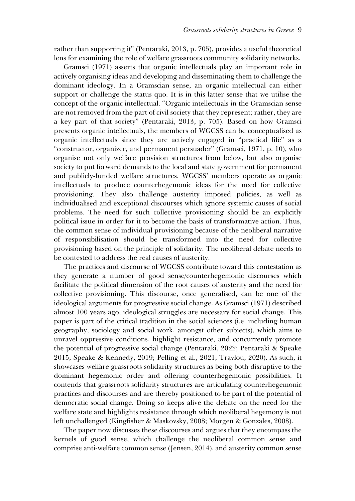rather than supporting it" (Pentaraki, 2013, p. 705), provides a useful theoretical lens for examining the role of welfare grassroots community solidarity networks.

Gramsci (1971) asserts that organic intellectuals play an important role in actively organising ideas and developing and disseminating them to challenge the dominant ideology. In a Gramscian sense, an organic intellectual can either support or challenge the status quo. It is in this latter sense that we utilise the concept of the organic intellectual. "Organic intellectuals in the Gramscian sense are not removed from the part of civil society that they represent; rather, they are a key part of that society" (Pentaraki, 2013, p. 705). Based on how Gramsci presents organic intellectuals, the members of WGCSS can be conceptualised as organic intellectuals since they are actively engaged in "practical life" as a "constructor, organizer, and permanent persuader" (Gramsci, 1971, p. 10), who organise not only welfare provision structures from below, but also organise society to put forward demands to the local and state government for permanent and publicly-funded welfare structures. WGCSS' members operate as organic intellectuals to produce counterhegemonic ideas for the need for collective provisioning. They also challenge austerity imposed policies, as well as individualised and exceptional discourses which ignore systemic causes of social problems. The need for such collective provisioning should be an explicitly political issue in order for it to become the basis of transformative action. Thus, the common sense of individual provisioning because of the neoliberal narrative of responsibilisation should be transformed into the need for collective provisioning based on the principle of solidarity. The neoliberal debate needs to be contested to address the real causes of austerity.

The practices and discourse of WGCSS contribute toward this contestation as they generate a number of good sense/counterhegemonic discourses which facilitate the political dimension of the root causes of austerity and the need for collective provisioning. This discourse, once generalised, can be one of the ideological arguments for progressive social change. As Gramsci (1971) described almost 100 years ago, ideological struggles are necessary for social change. This paper is part of the critical tradition in the social sciences (i.e. including human geography, sociology and social work, amongst other subjects), which aims to unravel oppressive conditions, highlight resistance, and concurrently promote the potential of progressive social change (Pentaraki, 2022; Pentaraki & Speake 2015; Speake & Kennedy, 2019; Pelling et al., 2021; Travlou, 2020). As such, it showcases welfare grassroots solidarity structures as being both disruptive to the dominant hegemonic order and offering counterhegemonic possibilities. It contends that grassroots solidarity structures are articulating counterhegemonic practices and discourses and are thereby positioned to be part of the potential of democratic social change. Doing so keeps alive the debate on the need for the welfare state and highlights resistance through which neoliberal hegemony is not left unchallenged (Kingfisher & Maskovsky, 2008; Morgen & Gonzales, 2008).

The paper now discusses these discourses and argues that they encompass the kernels of good sense, which challenge the neoliberal common sense and comprise anti-welfare common sense (Jensen, 2014), and austerity common sense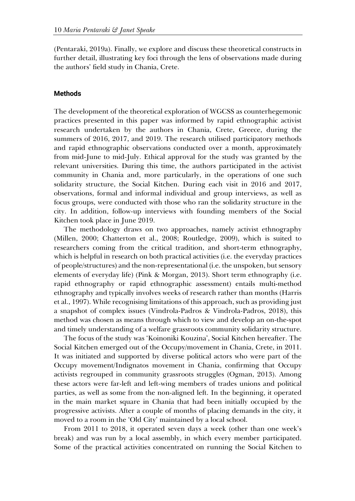(Pentaraki, 2019a). Finally, we explore and discuss these theoretical constructs in further detail, illustrating key foci through the lens of observations made during the authors' field study in Chania, Crete.

# **Methods**

The development of the theoretical exploration of WGCSS as counterhegemonic practices presented in this paper was informed by rapid ethnographic activist research undertaken by the authors in Chania, Crete, Greece, during the summers of 2016, 2017, and 2019. The research utilised participatory methods and rapid ethnographic observations conducted over a month, approximately from mid-June to mid-July. Ethical approval for the study was granted by the relevant universities. During this time, the authors participated in the activist community in Chania and, more particularly, in the operations of one such solidarity structure, the Social Kitchen. During each visit in 2016 and 2017, observations, formal and informal individual and group interviews, as well as focus groups, were conducted with those who ran the solidarity structure in the city. In addition, follow-up interviews with founding members of the Social Kitchen took place in June 2019.

The methodology draws on two approaches, namely activist ethnography (Millen, 2000; Chatterton et al., 2008; Routledge, 2009), which is suited to researchers coming from the critical tradition, and short-term ethnography, which is helpful in research on both practical activities (i.e. the everyday practices of people/structures) and the non-representational (i.e. the unspoken, but sensory elements of everyday life) (Pink & Morgan, 2013). Short term ethnography (i.e. rapid ethnography or rapid ethnographic assessment) entails multi-method ethnography and typically involves weeks of research rather than months (Harris et al., 1997). While recognising limitations of this approach, such as providing just a snapshot of complex issues (Vindrola-Padros & Vindrola-Padros, 2018), this method was chosen as means through which to view and develop an on-the-spot and timely understanding of a welfare grassroots community solidarity structure.

The focus of the study was 'Koinoniki Kouzina', Social Kitchen hereafter. The Social Kitchen emerged out of the Occupy/movement in Chania, Crete, in 2011. It was initiated and supported by diverse political actors who were part of the Occupy movement/Indignatos movement in Chania, confirming that Occupy activists regrouped in community grassroots struggles (Ogman, 2013). Among these actors were far-left and left-wing members of trades unions and political parties, as well as some from the non-aligned left. In the beginning, it operated in the main market square in Chania that had been initially occupied by the progressive activists. After a couple of months of placing demands in the city, it moved to a room in the 'Old City' maintained by a local school.

From 2011 to 2018, it operated seven days a week (other than one week's break) and was run by a local assembly, in which every member participated. Some of the practical activities concentrated on running the Social Kitchen to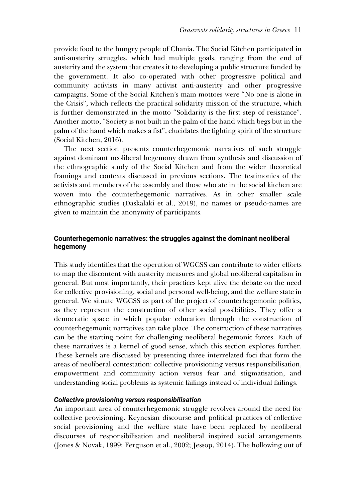provide food to the hungry people of Chania. The Social Kitchen participated in anti-austerity struggles, which had multiple goals, ranging from the end of austerity and the system that creates it to developing a public structure funded by the government. It also co-operated with other progressive political and community activists in many activist anti-austerity and other progressive campaigns. Some of the Social Kitchen's main mottoes were "No one is alone in the Crisis", which reflects the practical solidarity mission of the structure, which is further demonstrated in the motto "Solidarity is the first step of resistance". Another motto, "Society is not built in the palm of the hand which begs but in the palm of the hand which makes a fist", elucidates the fighting spirit of the structure (Social Kitchen, 2016).

The next section presents counterhegemonic narratives of such struggle against dominant neoliberal hegemony drawn from synthesis and discussion of the ethnographic study of the Social Kitchen and from the wider theoretical framings and contexts discussed in previous sections. The testimonies of the activists and members of the assembly and those who ate in the social kitchen are woven into the counterhegemonic narratives. As in other smaller scale ethnographic studies (Daskalaki et al., 2019), no names or pseudo-names are given to maintain the anonymity of participants.

# **Counterhegemonic narratives: the struggles against the dominant neoliberal hegemony**

This study identifies that the operation of WGCSS can contribute to wider efforts to map the discontent with austerity measures and global neoliberal capitalism in general. But most importantly, their practices kept alive the debate on the need for collective provisioning, social and personal well-being, and the welfare state in general. We situate WGCSS as part of the project of counterhegemonic politics, as they represent the construction of other social possibilities. They offer a democratic space in which popular education through the construction of counterhegemonic narratives can take place. The construction of these narratives can be the starting point for challenging neoliberal hegemonic forces. Each of these narratives is a kernel of good sense, which this section explores further. These kernels are discussed by presenting three interrelated foci that form the areas of neoliberal contestation: collective provisioning versus responsibilisation, empowerment and community action versus fear and stigmatisation, and understanding social problems as systemic failings instead of individual failings.

## *Collective provisioning versus responsibilisation*

An important area of counterhegemonic struggle revolves around the need for collective provisioning. Keynesian discourse and political practices of collective social provisioning and the welfare state have been replaced by neoliberal discourses of responsibilisation and neoliberal inspired social arrangements (Jones & Novak, 1999; Ferguson et al., 2002; Jessop, 2014). The hollowing out of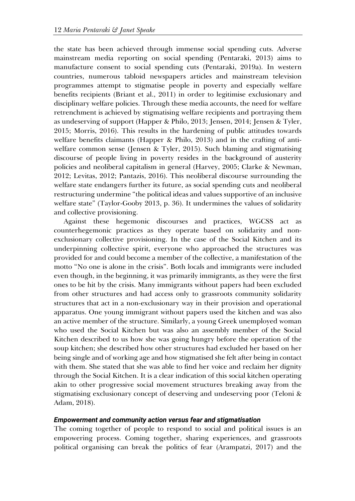the state has been achieved through immense social spending cuts. Adverse mainstream media reporting on social spending (Pentaraki, 2013) aims to manufacture consent to social spending cuts (Pentaraki, 2019a). In western countries, numerous tabloid newspapers articles and mainstream television programmes attempt to stigmatise people in poverty and especially welfare benefits recipients (Briant et al., 2011) in order to legitimise exclusionary and disciplinary welfare policies. Through these media accounts, the need for welfare retrenchment is achieved by stigmatising welfare recipients and portraying them as undeserving of support (Happer & Philo, 2013; Jensen, 2014; Jensen & Tyler, 2015; Morris, 2016). This results in the hardening of public attitudes towards welfare benefits claimants (Happer & Philo, 2013) and in the crafting of antiwelfare common sense (Jensen & Tyler, 2015). Such blaming and stigmatising discourse of people living in poverty resides in the background of austerity policies and neoliberal capitalism in general (Harvey, 2005; Clarke & Newman, 2012; Levitas, 2012; Pantazis, 2016). This neoliberal discourse surrounding the welfare state endangers further its future, as social spending cuts and neoliberal restructuring undermine "the political ideas and values supportive of an inclusive welfare state" (Taylor-Gooby 2013, p. 36). It undermines the values of solidarity and collective provisioning.

Against these hegemonic discourses and practices, WGCSS act as counterhegemonic practices as they operate based on solidarity and nonexclusionary collective provisioning. In the case of the Social Kitchen and its underpinning collective spirit, everyone who approached the structures was provided for and could become a member of the collective, a manifestation of the motto "No one is alone in the crisis". Both locals and immigrants were included even though, in the beginning, it was primarily immigrants, as they were the first ones to be hit by the crisis. Many immigrants without papers had been excluded from other structures and had access only to grassroots community solidarity structures that act in a non-exclusionary way in their provision and operational apparatus. One young immigrant without papers used the kitchen and was also an active member of the structure. Similarly, a young Greek unemployed woman who used the Social Kitchen but was also an assembly member of the Social Kitchen described to us how she was going hungry before the operation of the soup kitchen; she described how other structures had excluded her based on her being single and of working age and how stigmatised she felt after being in contact with them. She stated that she was able to find her voice and reclaim her dignity through the Social Kitchen. It is a clear indication of this social kitchen operating akin to other progressive social movement structures breaking away from the stigmatising exclusionary concept of deserving and undeserving poor (Teloni & Adam, 2018).

#### *Empowerment and community action versus fear and stigmatisation*

The coming together of people to respond to social and political issues is an empowering process. Coming together, sharing experiences, and grassroots political organising can break the politics of fear (Arampatzi, 2017) and the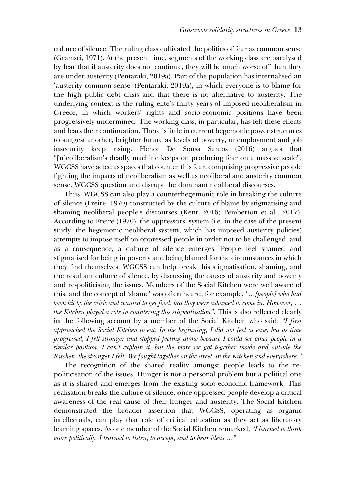culture of silence. The ruling class cultivated the politics of fear as common sense (Gramsci, 1971). At the present time, segments of the working class are paralysed by fear that if austerity does not continue, they will be much worse off than they are under austerity (Pentaraki, 2019a). Part of the population has internalised an 'austerity common sense' (Pentaraki, 2019a), in which everyone is to blame for the high public debt crisis and that there is no alternative to austerity. The underlying context is the ruling elite's thirty years of imposed neoliberalism in Greece, in which workers' rights and socio-economic positions have been progressively undermined. The working class, in particular, has felt these effects and fears their continuation. There is little in current hegemonic power structures to suggest another, brighter future as levels of poverty, unemployment and job insecurity keep rising. Hence De Sousa Santos (2016) argues that "[n]eoliberalism's deadly machine keeps on producing fear on a massive scale". WGCSS have acted as spaces that counter this fear, comprising progressive people fighting the impacts of neoliberalism as well as neoliberal and austerity common sense. WGCSS question and disrupt the dominant neoliberal discourses.

Thus, WGCSS can also play a counterhegemonic role in breaking the culture of silence (Freire, 1970) constructed by the culture of blame by stigmatising and shaming neoliberal people's discourses (Kent, 2016; Pemberton et al., 2017). According to Freire (1970), the oppressors' system (i.e. in the case of the present study, the hegemonic neoliberal system, which has imposed austerity policies) attempts to impose itself on oppressed people in order not to be challenged, and as a consequence, a culture of silence emerges. People feel shamed and stigmatised for being in poverty and being blamed for the circumstances in which they find themselves. WGCSS can help break this stigmatisation, shaming, and the resultant culture of silence, by discussing the causes of austerity and poverty and re-politicising the issues. Members of the Social Kitchen were well aware of this, and the concept of 'shame' was often heard, for example, *"…[people] who had been hit by the crisis and wanted to get food, but they were ashamed to come in. However, … the Kitchen played a role in countering this stigmatization".* This is also reflected clearly in the following account by a member of the Social Kitchen who said: *"I first approached the Social Kitchen to eat. In the beginning, I did not feel at ease, but as time progressed, I felt stronger and stopped feeling alone because I could see other people in a similar position. I can't explain it, but the more we got together inside and outside the Kitchen, the stronger I felt. We fought together on the street, in the Kitchen and everywhere."*

The recognition of the shared reality amongst people leads to the repoliticisation of the issues. Hunger is not a personal problem but a political one as it is shared and emerges from the existing socio-economic framework. This realisation breaks the culture of silence; once oppressed people develop a critical awareness of the real cause of their hunger and austerity. The Social Kitchen demonstrated the broader assertion that WGCSS, operating as organic intellectuals, can play that role of critical education as they act as liberatory learning spaces. As one member of the Social Kitchen remarked, *"I learned to think more politically, I learned to listen, to accept, and to hear ideas …"*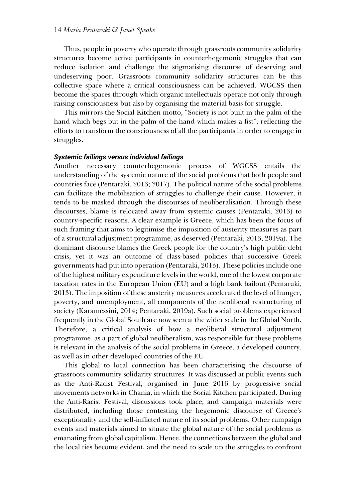Thus, people in poverty who operate through grassroots community solidarity structures become active participants in counterhegemonic struggles that can reduce isolation and challenge the stigmatising discourse of deserving and undeserving poor. Grassroots community solidarity structures can be this collective space where a critical consciousness can be achieved. WGCSS then become the spaces through which organic intellectuals operate not only through raising consciousness but also by organising the material basis for struggle.

This mirrors the Social Kitchen motto, "Society is not built in the palm of the hand which begs but in the palm of the hand which makes a fist", reflecting the efforts to transform the consciousness of all the participants in order to engage in struggles.

# *Systemic failings versus individual failings*

Another necessary counterhegemonic process of WGCSS entails the understanding of the systemic nature of the social problems that both people and countries face (Pentaraki, 2013; 2017). The political nature of the social problems can facilitate the mobilisation of struggles to challenge their cause. However, it tends to be masked through the discourses of neoliberalisation. Through these discourses, blame is relocated away from systemic causes (Pentaraki, 2013) to country-specific reasons. A clear example is Greece, which has been the focus of such framing that aims to legitimise the imposition of austerity measures as part of a structural adjustment programme, as deserved (Pentaraki, 2013, 2019a). The dominant discourse blames the Greek people for the country's high public debt crisis, yet it was an outcome of class-based policies that successive Greek governments had put into operation (Pentaraki, 2013). These policies include one of the highest military expenditure levels in the world, one of the lowest corporate taxation rates in the European Union (EU) and a high bank bailout (Pentaraki, 2013). The imposition of these austerity measures accelerated the level of hunger, poverty, and unemployment, all components of the neoliberal restructuring of society (Karamessini, 2014; Pentaraki, 2019a). Such social problems experienced frequently in the Global South are now seen at the wider scale in the Global North. Therefore, a critical analysis of how a neoliberal structural adjustment programme, as a part of global neoliberalism, was responsible for these problems is relevant in the analysis of the social problems in Greece, a developed country, as well as in other developed countries of the EU.

This global to local connection has been characterising the discourse of grassroots community solidarity structures. It was discussed at public events such as the Anti-Racist Festival, organised in June 2016 by progressive social movements networks in Chania, in which the Social Kitchen participated. During the Anti-Racist Festival, discussions took place, and campaign materials were distributed, including those contesting the hegemonic discourse of Greece's exceptionality and the self-inflicted nature of its social problems. Other campaign events and materials aimed to situate the global nature of the social problems as emanating from global capitalism. Hence, the connections between the global and the local ties become evident, and the need to scale up the struggles to confront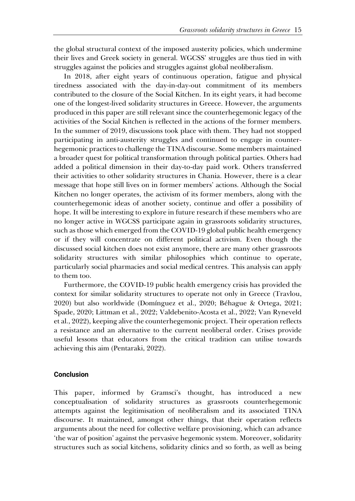the global structural context of the imposed austerity policies, which undermine their lives and Greek society in general. WGCSS' struggles are thus tied in with struggles against the policies and struggles against global neoliberalism.

In 2018, after eight years of continuous operation, fatigue and physical tiredness associated with the day-in-day-out commitment of its members contributed to the closure of the Social Kitchen. In its eight years, it had become one of the longest-lived solidarity structures in Greece. However, the arguments produced in this paper are still relevant since the counterhegemonic legacy of the activities of the Social Kitchen is reflected in the actions of the former members. In the summer of 2019, discussions took place with them. They had not stopped participating in anti-austerity struggles and continued to engage in counterhegemonic practices to challenge the TINA discourse. Some members maintained a broader quest for political transformation through political parties. Others had added a political dimension in their day-to-day paid work. Others transferred their activities to other solidarity structures in Chania. However, there is a clear message that hope still lives on in former members' actions. Although the Social Kitchen no longer operates, the activism of its former members, along with the counterhegemonic ideas of another society, continue and offer a possibility of hope. It will be interesting to explore in future research if these members who are no longer active in WGCSS participate again in grassroots solidarity structures, such as those which emerged from the COVID-19 global public health emergency or if they will concentrate on different political activism. Even though the discussed social kitchen does not exist anymore, there are many other grassroots solidarity structures with similar philosophies which continue to operate, particularly social pharmacies and social medical centres. This analysis can apply to them too.

Furthermore, the COVID-19 public health emergency crisis has provided the context for similar solidarity structures to operate not only in Greece (Travlou, 2020) but also worldwide (Domínguez et al., 2020; Béhague & Ortega, 2021; Spade, 2020; Littman et al., 2022; Valdebenito-Acosta et al., 2022; Van Ryneveld et al., 2022), keeping alive the counterhegemonic project. Their operation reflects a resistance and an alternative to the current neoliberal order. Crises provide useful lessons that educators from the critical tradition can utilise towards achieving this aim (Pentaraki, 2022).

# **Conclusion**

This paper, informed by Gramsci's thought, has introduced a new conceptualisation of solidarity structures as grassroots counterhegemonic attempts against the legitimisation of neoliberalism and its associated TINA discourse. It maintained, amongst other things, that their operation reflects arguments about the need for collective welfare provisioning, which can advance 'the war of position' against the pervasive hegemonic system. Moreover, solidarity structures such as social kitchens, solidarity clinics and so forth, as well as being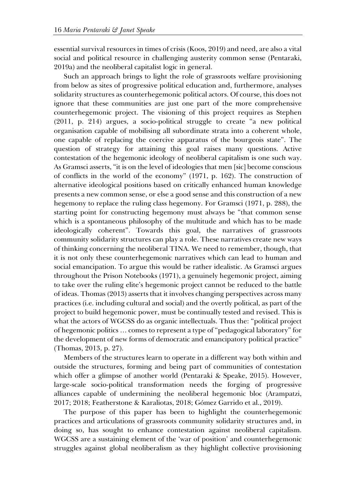essential survival resources in times of crisis (Koos, 2019) and need, are also a vital social and political resource in challenging austerity common sense (Pentaraki, 2019a) and the neoliberal capitalist logic in general.

Such an approach brings to light the role of grassroots welfare provisioning from below as sites of progressive political education and, furthermore, analyses solidarity structures as counterhegemonic political actors. Of course, this does not ignore that these communities are just one part of the more comprehensive counterhegemonic project. The visioning of this project requires as Stephen (2011, p. 214) argues, a socio-political struggle to create "a new political organisation capable of mobilising all subordinate strata into a coherent whole, one capable of replacing the coercive apparatus of the bourgeois state". The question of strategy for attaining this goal raises many questions. Active contestation of the hegemonic ideology of neoliberal capitalism is one such way. As Gramsci asserts, "it is on the level of ideologies that men [sic] become conscious of conflicts in the world of the economy" (1971, p. 162). The construction of alternative ideological positions based on critically enhanced human knowledge presents a new common sense, or else a good sense and this construction of a new hegemony to replace the ruling class hegemony. For Gramsci (1971, p. 288), the starting point for constructing hegemony must always be "that common sense which is a spontaneous philosophy of the multitude and which has to be made ideologically coherent". Towards this goal, the narratives of grassroots community solidarity structures can play a role. These narratives create new ways of thinking concerning the neoliberal TINA. We need to remember, though, that it is not only these counterhegemonic narratives which can lead to human and social emancipation. To argue this would be rather idealistic. As Gramsci argues throughout the Prison Notebooks (1971), a genuinely hegemonic project, aiming to take over the ruling elite's hegemonic project cannot be reduced to the battle of ideas. Thomas (2013) asserts that it involves changing perspectives across many practices (i.e. including cultural and social) and the overtly political, as part of the project to build hegemonic power, must be continually tested and revised. This is what the actors of WGCSS do as organic intellectuals. Thus the: "political project of hegemonic politics … comes to represent a type of "pedagogical laboratory" for the development of new forms of democratic and emancipatory political practice" (Thomas, 2013, p. 27).

Members of the structures learn to operate in a different way both within and outside the structures, forming and being part of communities of contestation which offer a glimpse of another world (Pentaraki & Speake, 2015). However, large-scale socio-political transformation needs the forging of progressive alliances capable of undermining the neoliberal hegemonic bloc (Arampatzi, 2017; 2018; Featherstone & Karaliotas, 2018; Gómez Garrido et al., 2019).

The purpose of this paper has been to highlight the counterhegemonic practices and articulations of grassroots community solidarity structures and, in doing so, has sought to enhance contestation against neoliberal capitalism. WGCSS are a sustaining element of the 'war of position' and counterhegemonic struggles against global neoliberalism as they highlight collective provisioning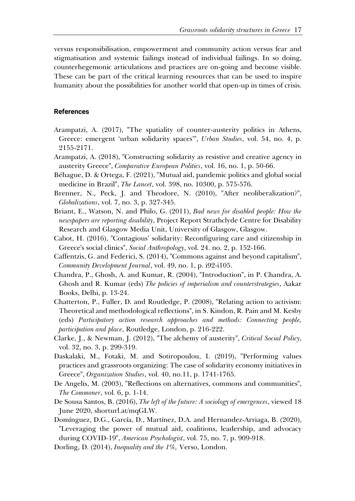versus responsibilisation, empowerment and community action versus fear and stigmatisation and systemic failings instead of individual failings. In so doing, counterhegemonic articulations and practices are on-going and become visible. These can be part of the critical learning resources that can be used to inspire humanity about the possibilities for another world that open-up in times of crisis.

#### **References**

- Arampatzi, A. (2017), "The spatiality of counter-austerity politics in Athens, Greece: emergent 'urban solidarity spaces'", *Urban Studies*, vol. 54, no. 4, p. 2155-2171.
- Arampatzi, A. (2018), "Constructing solidarity as resistive and creative agency in austerity Greece", *Comparative European Politics*, vol. 16, no. 1, p. 50-66.
- Béhague, D. & Ortega, F. (2021), "Mutual aid, pandemic politics and global social medicine in Brazil", *The Lancet*, vol. 398, no. 10300, p. 575-576.
- Brenner, N., Peck, J. and Theodore, N. (2010), "After neoliberalization?", *Globalizations*, vol. 7, no. 3, p. 327-345.
- Briant, E., Watson, N. and Philo, G. (2011), *Bad news for disabled people: How the newspapers are reporting disability*, Project Report Strathclyde Centre for Disability Research and Glasgow Media Unit, University of Glasgow, Glasgow.
- Cabot, H. (2016), "Contagious' solidarity: Reconfiguring care and citizenship in Greece's social clinics", *Social Anthropology*, vol. 24. no. 2, p. 152-166.
- Caffentzis, G. and Federici, S. (2014), "Commons against and beyond capitalism", *Community Development Journal*, vol. 49, no. 1, p. i92-i105.
- Chandra, P., Ghosh, A. and Kumar, R. (2004), "Introduction", in P. Chandra, A. Ghosh and R. Kumar (eds) *The policies of imperialism and counterstrategies*, Aakar Books, Delhi, p. 13-24.
- Chatterton, P., Fuller, D. and Routledge, P. (2008), "Relating action to activism: Theoretical and methodological reflections", in S. Kindon, R. Pain and M. Kesby (eds) *Participatory action research approaches and methods: Connecting people, participation and place*, Routledge, London, p. 216-222.
- Clarke, J., & Newman, J. (2012), "The alchemy of austerity", *Critical Social Policy*, vol. 32, no. 3, p. 299-319.
- Daskalaki, M., Fotaki, M. and Sotiropoulou, I. (2019), "Performing values practices and grassroots organizing: The case of solidarity economy initiatives in Greece", *Organization Studies*, vol. 40, no.11, p. 1741-1765.
- De Angelis, M. (2003), "Reflections on alternatives, commons and communities", *The Commoner*, vol. 6, p. 1-14.
- De Sousa Santos, B. (2016), *The left of the future: A sociology of emergences*, viewed 18 June 2020, shorturl.at/mqGLW.
- Domínguez, D.G., García, D., Martínez, D.A. and Hernandez-Arriaga, B. (2020), "Leveraging the power of mutual aid, coalitions, leadership, and advocacy during COVID-19", *American Psychologist*, vol. 75, no. 7, p. 909-918.

Dorling, D. (2014), *Inequality and the 1%,* Verso, London.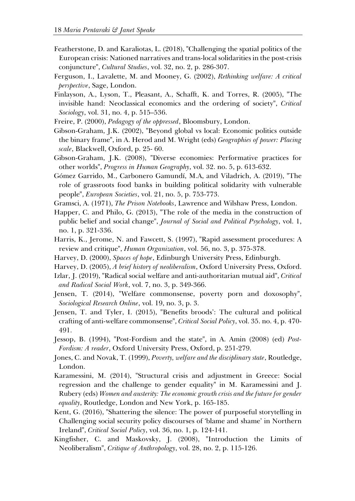- Featherstone, D. and Karaliotas, L. (2018), "Challenging the spatial politics of the European crisis: Nationed narratives and trans-local solidarities in the post-crisis conjuncture", *Cultural Studies*, vol. 32, no. 2, p. 286-307.
- Ferguson, I., Lavalette, M. and Mooney, G. (2002), *Rethinking welfare: A critical perspective*, Sage, London.
- Finlayson, A., Lyson, T., Pleasant, A., Schafft, K. and Torres, R. (2005), "The invisible hand: Neoclassical economics and the ordering of society", *Critical Sociology*, vol. 31, no. 4, p. 515–536.
- Freire, P. (2000), *Pedagogy of the oppressed*, Bloomsbury, London.
- Gibson-Graham, J.K. (2002), "Beyond global vs local: Economic politics outside the binary frame", in A. Herod and M. Wright (eds) *Geographies of power: Placing scale*, Blackwell, Oxford, p. 25- 60.
- Gibson-Graham, J.K. (2008), "Diverse economies: Performative practices for other worlds", *Progress in Human Geography*, vol. 32. no. 5, p. 613-632.
- Gómez Garrido, M., Carbonero Gamundí, M.A, and Viladrich, A. (2019), "The role of grassroots food banks in building political solidarity with vulnerable people", *European Societies*, vol. 21, no. 5, p. 753-773.
- Gramsci, A. (1971), *The Prison Notebooks*, Lawrence and Wilshaw Press, London.
- Happer, C. and Philo, G. (2013), "The role of the media in the construction of public belief and social change", *Journal of Social and Political Psychology*, vol. 1, no. 1, p. 321-336.
- Harris, K., Jerome, N. and Fawcett, S. (1997), "Rapid assessment procedures: A review and critique", *Human Organization*, vol. 56, no. 3, p. 375-378.
- Harvey, D. (2000), *Spaces of hope*, Edinburgh University Press, Edinburgh.
- Harvey, D. (2005), *A brief history of neoliberalism*, Oxford University Press, Oxford.
- Izlar, J. (2019), "Radical social welfare and anti-authoritarian mutual aid", *Critical and Radical Social Work*, vol. 7, no. 3, p. 349-366.
- Jensen, T. (2014), "Welfare commonsense, poverty porn and doxosophy", *Sociological Research Online*, vol. 19, no. 3, p. 3.
- Jensen, T. and Tyler, I. (2015), "Benefits broods': The cultural and political crafting of anti-welfare commonsense", *Critical Social Policy*, vol. 35. no. 4, p. 470- 491.
- Jessop, B. (1994), "Post-Fordism and the state", in A. Amin (2008) (ed) *Post-Fordism: A reader*, Oxford University Press, Oxford, p. 251-279.
- Jones, C. and Novak, T. (1999), *Poverty, welfare and the disciplinary state*, Routledge, London.
- Karamessini, M. (2014), "Structural crisis and adjustment in Greece: Social regression and the challenge to gender equality" in M. Karamessini and J. Rubery (eds) *Women and austerity: The economic growth crisis and the future for gender equality*, Routledge, London and New York, p. 165-185.
- Kent, G. (2016), "Shattering the silence: The power of purposeful storytelling in Challenging social security policy discourses of 'blame and shame' in Northern Ireland", *Critical Social Policy*, vol. 36, no. 1, p. 124-141.
- Kingfisher, C. and Maskovsky, J. (2008), "Introduction the Limits of Neoliberalism", *Critique of Anthropology*, vol. 28, no. 2, p. 115-126.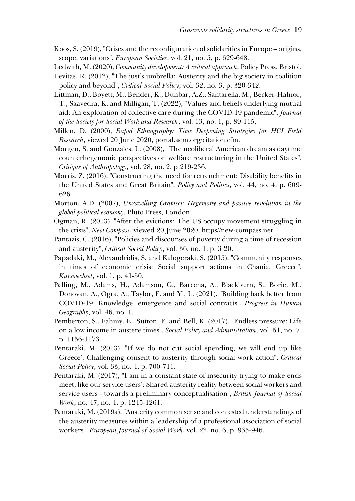- Koos, S. (2019), "Crises and the reconfiguration of solidarities in Europe origins, scope, variations", *European Societies*, vol. 21, no. 5, p. 629-648.
- Ledwith, M. (2020), *Community development: A critical approach*, Policy Press, Bristol. Levitas, R. (2012), "The just's umbrella: Austerity and the big society in coalition policy and beyond", *Critical Social Policy*, vol. 32, no. 3, p. 320-342.
- Littman, D., Boyett, M., Bender, K., Dunbar, A.Z., Santarella, M., Becker-Hafnor, T., Saavedra, K. and Milligan, T. (2022), "Values and beliefs underlying mutual aid: An exploration of collective care during the COVID-19 pandemic", *Journal of the Society for Social Work and Research*, vol. 13, no. 1, p. 89-115.
- Millen, D. (2000), *Rapid Ethnography: Time Deepening Strategies for HCI Field Research*, viewed 20 June 2020, portal.acm.org/citation.cfm.
- Morgen, S. and Gonzales, L. (2008), "The neoliberal American dream as daytime counterhegemonic perspectives on welfare restructuring in the United States", *Critique of Anthropology*, vol. 28, no. 2, p.219-236.
- Morris, Z. (2016), "Constructing the need for retrenchment: Disability benefits in the United States and Great Britain", *Policy and Politics*, vol. 44, no. 4, p. 609- 626.
- Morton, A.D. (2007), *Unravelling Gramsci: Hegemony and passive revolution in the global political economy*, Pluto Press, London.
- Ogman, R. (2013), "After the evictions: The US occupy movement struggling in the crisis", *New Compass*, viewed 20 June 2020, https//new-compass.net.
- Pantazis, C. (2016), "Policies and discourses of poverty during a time of recession and austerity", *Critical Social Policy*, vol. 36, no. 1, p. 3-20.
- Papadaki, M., Alexandridis, S. and Kalogeraki, S. (2015), "Community responses in times of economic crisis: Social support actions in Chania, Greece", *Kurswechsel*, vol. 1, p. 41-50.
- Pelling, M., Adams, H., Adamson, G., Barcena, A., Blackburn, S., Borie, M., Donovan, A., Ogra, A., Taylor, F. and Yi, L. (2021). "Building back better from COVID-19: Knowledge, emergence and social contracts", *Progress in Human Geography*, vol. 46, no. 1.
- Pemberton, S., Fahmy, E., Sutton, E. and Bell, K. (2017), "Endless pressure: Life on a low income in austere times", *Social Policy and Administration*, vol. 51, no. 7, p. 1156-1173.
- Pentaraki, M. (2013), "If we do not cut social spending, we will end up like Greece': Challenging consent to austerity through social work action", *Critical Social Policy*, vol. 33, no. 4, p. 700-711.
- Pentaraki, M. (2017), "I am in a constant state of insecurity trying to make ends meet, like our service users': Shared austerity reality between social workers and service users - towards a preliminary conceptualisation", *British Journal of Social Work*, no. 47, no. 4, p. 1245-1261.
- Pentaraki, M. (2019a), "Austerity common sense and contested understandings of the austerity measures within a leadership of a professional association of social workers", *European Journal of Social Work*, vol. 22, no. 6, p. 935-946.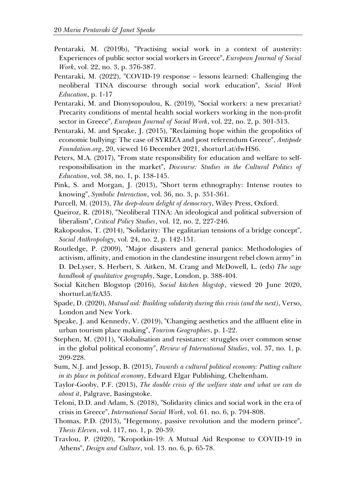- Pentaraki, M. (2019b), "Practising social work in a context of austerity: Experiences of public sector social workers in Greece", *European Journal of Social Work*, vol. 22, no. 3, p. 376-387.
- Pentaraki, M. (2022), "COVID-19 response lessons learned: Challenging the neoliberal TINA discourse through social work education", *Social Work Education*, p. 1-17
- Pentaraki, M. and Dionysopoulou, K. (2019), "Social workers: a new precariat? Precarity conditions of mental health social workers working in the non-profit sector in Greece", *European Journal of Social Work*, vol. 22, no. 2, p. 301-313.
- Pentaraki, M. and Speake, J. (2015), "Reclaiming hope within the geopolitics of economic bullying: The case of SYRIZA and post referendum Greece", *Antipode Foundation.org*, 20, viewed 16 December 2021, shorturl.at/dwHS6.
- Peters, M.A. (2017), "From state responsibility for education and welfare to selfresponsibilisation in the market", *Discourse: Studies in the Cultural Politics of Education*, vol. 38, no. 1, p. 138-145.
- Pink, S. and Morgan, J. (2013), "Short term ethnography: Intense routes to knowing", *Symbolic Interaction*, vol. 36, no. 3, p. 351-361.
- Purcell, M. (2013), *The deep-down delight of democracy*, Wiley Press, Oxford.
- Queiroz, R. (2018), "Neoliberal TINA: An ideological and political subversion of liberalism", *Critical Policy Studies*, vol. 12, no. 2, 227-246.
- Rakopoulos, T. (2014), "Solidarity: The egalitarian tensions of a bridge concept", *Social Anthropology*, vol. 24, no. 2, p. 142-151.
- Routledge, P. (2009), "Major disasters and general panics: Methodologies of activism, affinity, and emotion in the clandestine insurgent rebel clown army" in D. DeLyser, S. Herbert, S. Aitken, M. Crang and McDowell, L. (eds) *The sage handbook of qualitative geography*, Sage, London, p. 388-404.
- Social Kitchen Blogstop (2016), *Social kitchen blogstop*, viewed 20 June 2020, shorturl.at/fzA35.
- Spade, D. (2020), *Mutual aid: Building solidarity during this crisis (and the next)*, Verso, London and New York.
- Speake, J. and Kennedy, V. (2019), "Changing aesthetics and the affluent elite in urban tourism place making", *Tourism Geographies*, p. 1-22.
- Stephen, M. (2011), "Globalisation and resistance: struggles over common sense in the global political economy", *Review of International Studies*, vol. 37, no. 1, p. 209-228.
- Sum, N.J. and Jessop, B. (2013), *Towards a cultural political economy: Putting culture in its place in political economy*, Edward Elgar Publishing, Cheltenham.
- Taylor-Gooby, P.F. (2013), *The double crisis of the welfare state and what we can do about it*, Palgrave, Basingstoke.
- Teloni, D.D. and Adam, S. (2018), "Solidarity clinics and social work in the era of crisis in Greece", *International Social Work*, vol. 61. no. 6, p. 794-808.
- Thomas, P.D. (2013), "Hegemony, passive revolution and the modern prince", *Thesis Eleven*, vol. 117, no. 1, p. 20-39.
- Travlou, P. (2020), "Kropotkin-19: A Mutual Aid Response to COVID-19 in Athens", *Design and Culture*, vol. 13. no. 6, p. 65-78.